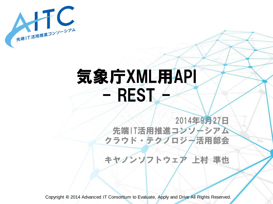

## 気象庁XML用API  $-$  REST $-$

2014年9月27日 先端IT活用推進コンソーシアム クラウド・テクノロジー活用部会

キヤノンソフトウェア 上村 準也

Copyright **©** 2014 Advanced IT Consortium to Evaluate, Apply and Drive All Rights Reserved.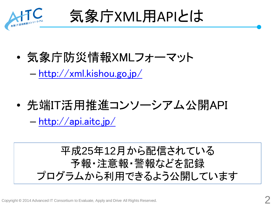

気象庁XML用APIとは

• 気象庁防災情報XMLフォーマット

– <http://xml.kishou.go.jp/>

• 先端IT活用推進コンソーシアム公開API

– <http://api.aitc.jp/>

平成25年12月から配信されている 予報・注意報・警報などを記録 プログラムから利用できるよう公開しています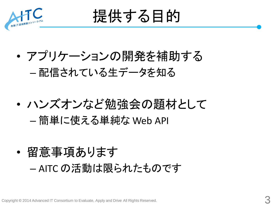

提供する目的

- アプリケーションの開発を補助する – 配信されている生データを知る
- ハンズオンなど勉強会の題材として – 簡単に使える単純な Web API
- 留意事項あります – AITC の活動は限られたものです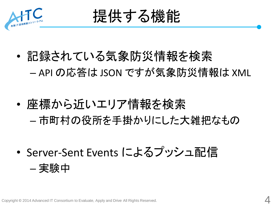



- 記録されている気象防災情報を検索 – API の応答は JSON ですが気象防災情報は XML
- 座標から近いエリア情報を検索 – 市町村の役所を手掛かりにした大雑把なもの
- Server-Sent Events によるプッシュ配信 – 実験中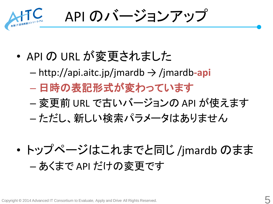

API のバージョンアップ

- API の URL が変更されました
	- http://api.aitc.jp/jmardb → /jmardb**-api**
	- 日時の表記形式が変わっています
	- 変更前 URL で古いバージョンの API が使えます
	- ただし、新しい検索パラメータはありません
- トップページはこれまでと同じ /jmardb のまま – あくまで API だけの変更です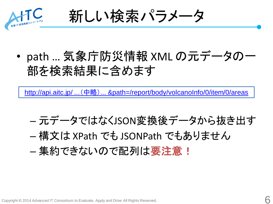

新しい検索パラメータ

• path … 気象庁防災情報 XML の元データの一 部を検索結果に含めます

[http://api.aitc.jp/ ...](http://api.aitc.jp/jmardb-api/search?areaname=%E6%A1%9C%E5%B3%B6&limit=1&path=/report/body/volcanoInfo/0/item/0/areas) [\(中略\)](http://api.aitc.jp/jmardb-api/search?areaname=%E6%A1%9C%E5%B3%B6&limit=1&path=/report/body/volcanoInfo/0/item/0/areas) [... &path=/report/body/volcanoInfo/0/item/0/areas](http://api.aitc.jp/jmardb-api/search?areaname=%E6%A1%9C%E5%B3%B6&limit=1&path=/report/body/volcanoInfo/0/item/0/areas)

– 元データではなくJSON変換後データから抜き出す – 構文は XPath でも JSONPath でもありません – 集約できないので配列は要注意!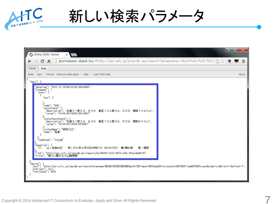

新しい検索パラメータ

| O Online JSON Viewer<br>$\times$                                                                                                                                                                                                                                                                                                                                                                                                                                                                                                                                                                                                                                                                                                                                                                                                                                                                           |    | المالحه<br>$\mathbf x$ |
|------------------------------------------------------------------------------------------------------------------------------------------------------------------------------------------------------------------------------------------------------------------------------------------------------------------------------------------------------------------------------------------------------------------------------------------------------------------------------------------------------------------------------------------------------------------------------------------------------------------------------------------------------------------------------------------------------------------------------------------------------------------------------------------------------------------------------------------------------------------------------------------------------------|----|------------------------|
| ■ jsonviewer.stack.hu/#http://api.aitc.jp/jmardb-api/search?areaname=%E6%A1%9C%E5 □☆<br>c                                                                                                                                                                                                                                                                                                                                                                                                                                                                                                                                                                                                                                                                                                                                                                                                                  | ٩ŋ | $=$                    |
| Text<br>Viewer                                                                                                                                                                                                                                                                                                                                                                                                                                                                                                                                                                                                                                                                                                                                                                                                                                                                                             |    |                        |
| Paste Copy   Format Remove white space   Clear   Load JSON data                                                                                                                                                                                                                                                                                                                                                                                                                                                                                                                                                                                                                                                                                                                                                                                                                                            |    | About                  |
| $"data":$ [                                                                                                                                                                                                                                                                                                                                                                                                                                                                                                                                                                                                                                                                                                                                                                                                                                                                                                |    |                        |
| "datetime": "2012-12-10T04:32:09.000+0900",<br>"fragment": {<br>"area": [<br>$"$ any": [<br>$\text{'code''}:$ "506",<br>'coordinate":<br>'description″: ″北緯31度34.63分 東経130度39.53分 標高1060m″,<br>"value": "+3134.63+13039.53+1060/"<br>ļ,<br>'craterCoordinate": {<br>'description": "北緯31度34.63分 東経130度39.53分 標高800m",<br>"value": "+3134.63+13039.53+800/"<br>"craterName": "昭和火□",<br>,<br>name": "桜島"<br>Ť,<br><sup>*</sup> codeType": "火山名"<br>"headline": [<br>"火<br>時:2012年12月10日04時27分(091927UTC) 第1報約現<br>山:桜島約日<br>象:爆発"<br><sup>7</sup> iink": "http://api.aitc.jp/jmardb-api/reports/bc740293-af22-43f9-a76a-416ac4ed9129",<br>"title": "噴火に関する火山観測報"<br><sup>p</sup> paging": {<br>"next": "http://api.aitc.jp/jmardb-api/search?areaname=%E6%A1%9C%E5%B3%B6&path=%2Freport%2Fbody%2FvolcanoInfo%2F0%2Fitem%2F0%2Fareasℴ=old&limit=1&offset=1",<br>"previous": null,<br>"totalCount": 3032<br>в |    |                        |

7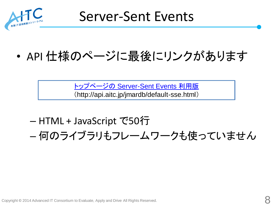

## • API 仕様のページに最後にリンクがあります

[トップページの](http://api.aitc.jp/jmardb/default-sse.html) [Server-Sent Events](http://api.aitc.jp/jmardb/default-sse.html) [利用版](http://api.aitc.jp/jmardb/default-sse.html) (http://api.aitc.jp/jmardb/default-sse.html)

– HTML + JavaScript で50行 – 何のライブラリもフレームワークも使っていません

Copyright **©** 2014 Advanced IT Consortium to Evaluate, Apply and Drive All Rights Reserved.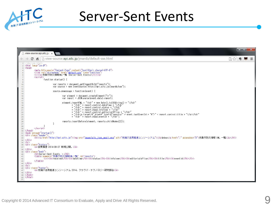

## Server-Sent Events

|  | $\lceil \cdot \rceil$ view-source: api.aitc.jp/ $\times$                                                                                                                                                                                                                             | — 2 — X |  |
|--|--------------------------------------------------------------------------------------------------------------------------------------------------------------------------------------------------------------------------------------------------------------------------------------|---------|--|
|  | □ view-source: api.aitc.jp/jmardb/default-sse.html<br>c<br>香<br>口な                                                                                                                                                                                                                   |         |  |
|  | html<br>2 <html lang="ja-JP"></html>                                                                                                                                                                                                                                                 |         |  |
|  | з   <head><br/><meta_http-equiv="content-type" content="text/html; charset=UTF-8"><br/><link_rel="stylesheet"_href="<u>default.css"_type="text/css"&gt;<br/><title>気象庁防災情報XML一覧(Server-Sent Events)</title></link_rel="stylesheet"_href="<u></meta_http-equiv="content-type"></head> |         |  |
|  | <script></script>                                                                                                                                                                                                                                                                    |         |  |